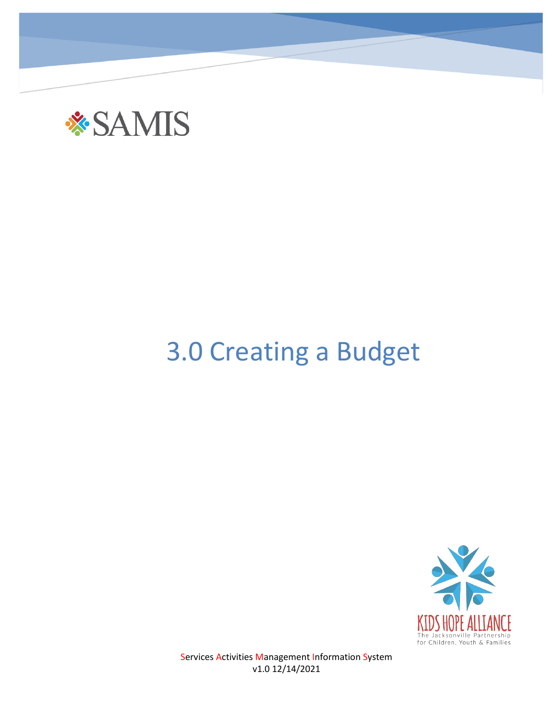

## 3.0 Creating a Budget



Services Activities Management Information System v1.0 12/14/2021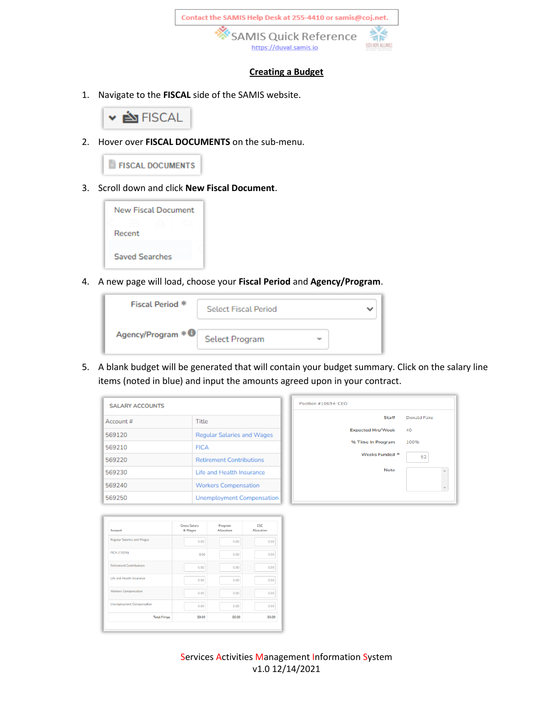

## **Creating a Budget**

1. Navigate to the **FISCAL** side of the SAMIS website.



2. Hover over **FISCAL DOCUMENTS** on the sub-menu.

**FISCAL DOCUMENTS** 

3. Scroll down and click **New Fiscal Document**.



4. A new page will load, choose your **Fiscal Period** and **Agency/Program**.

| Fiscal Period *    | <b>Select Fiscal Period</b> |  |
|--------------------|-----------------------------|--|
| Agency/Program * 0 | <b>Select Program</b>       |  |

5. A blank budget will be generated that will contain your budget summary. Click on the salary line items (noted in blue) and input the amounts agreed upon in your contract.

| <b>SALARY ACCOUNTS</b> |                                   | Position #10694: CEO     |
|------------------------|-----------------------------------|--------------------------|
| Account #              | Title                             | <b>Staff</b>             |
| 569120                 | <b>Regular Salaries and Wages</b> | <b>Expected Hrs/Week</b> |
| 569210                 | <b>FICA</b>                       | % Time In Program        |
| 569220                 | <b>Retirement Contributions</b>   | Weeks Funded *           |
| 569230                 | Life and Health Insurance         | <b>Note</b>              |
| 569240                 | <b>Workers Compensation</b>       |                          |
| 569250                 | Unemployment Compensation         |                          |

| Account                           | Gross Salary<br>& Wages | Program<br>Allocation | CSC<br>Allocation |  |
|-----------------------------------|-------------------------|-----------------------|-------------------|--|
| <b>Regular Salaries and Wages</b> | 0.00                    | 0.00                  | 0.00              |  |
| FICA (7.65%)                      | 0.00                    | 0.00                  | 0.00              |  |
| <b>Retirement Contributions</b>   | 0.00                    | 0.00                  | 0.00              |  |
| Life and Health Insurance         | 0.00                    | 0.00                  | 0.00              |  |
| <b>Workers Compensation</b>       | 0.00                    | 0.00                  | 0.00              |  |
| <b>Unemployment Compensation</b>  | 0.00                    | 0.00                  | 0.00              |  |
| <b>Total Fringe</b>               | \$0.00                  | \$0.00                | \$0.00            |  |

Services Activities Management Information System v1.0 12/14/2021